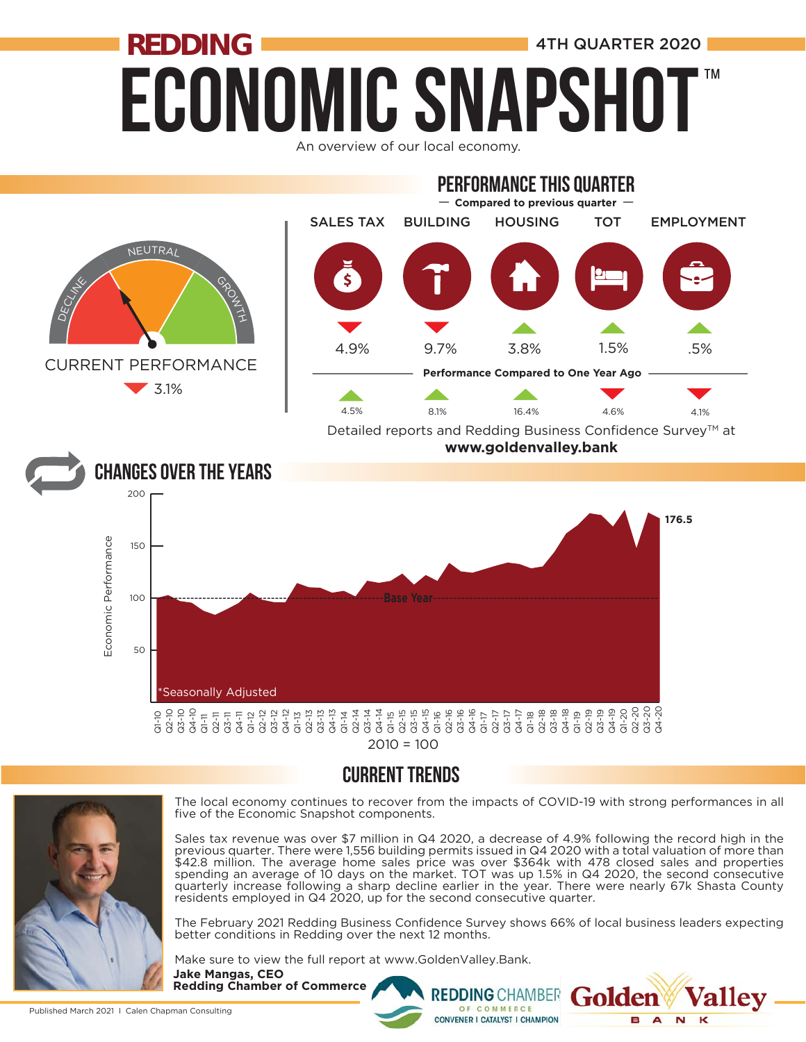## **ECONOMIC SNAPSHO REDDING ALL AND REDDING 11 AM** ™

An overview of our local economy.







The local economy continues to recover from the impacts of COVID-19 with strong performances in all five of the Economic Snapshot components.

Sales tax revenue was over \$7 million in Q4 2020, a decrease of 4.9% following the record high in the previous quarter. There were 1,556 building permits issued in Q4 2020 with a total valuation of more than \$42.8 million. The average home sales price was over \$364k with 478 closed sales and properties spending an average of 10 days on the market. TOT was up 1.5% in Q4 2020, the second consecutive quarterly increase following a sharp decline earlier in the year. There were nearly 67k Shasta County residents employed in Q4 2020, up for the second consecutive quarter.

The February 2021 Redding Business Confidence Survey shows 66% of local business leaders expecting better conditions in Redding over the next 12 months.

**REDDING CHAMBER** 

OF COMMERCE **CONVENER I CATALYST I CHAMPION**  olde

**B** A

 $\overline{\mathbf{M}}$ 

Make sure to view the full report at www.GoldenValley.Bank.

**Jake Mangas, CEO Redding Chamber of Commerce**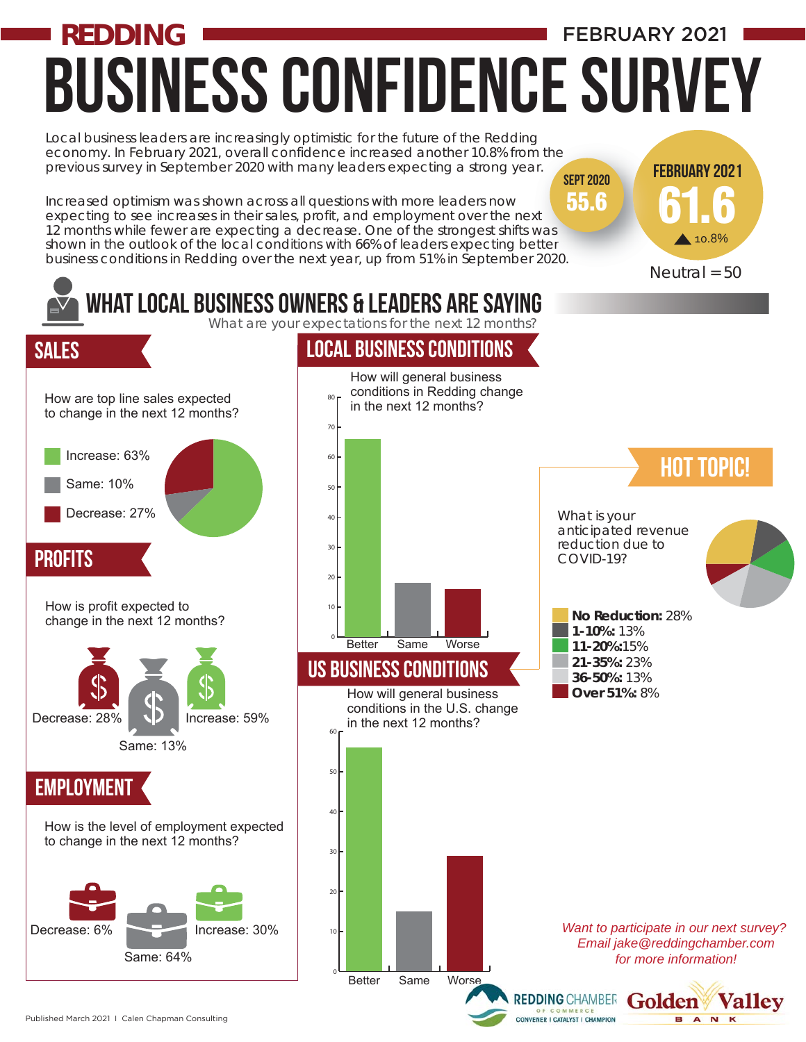## Business confidence Survey **REDDING**  FEBRUARY 2021

61.6

10.8%

February 2021 Fe

Local business leaders are increasingly optimistic for the future of the Redding g economy. In February 2021, overall confidence increased another 10.8% from the previous survey in September 2020 with many leaders expecting a strong year. SEPT 2020

Increased optimism was shown across all questions with more leaders now expecting to see increases in their sales, profit, and employment over the next previous survey in September 2020 with many leaders expecting a strong year.<br>Increased optimism was shown across all questions with more leaders now<br>expecting to see increases in their sales, profit, and employment over th shown in the outlook of the local conditions with 66% of leaders expecting better business conditions in Redding over the next year, up from 51% in September 2020. etter<br>F 2020.<br>N 55.6



Published March 2021 I Calen Chapman Consulting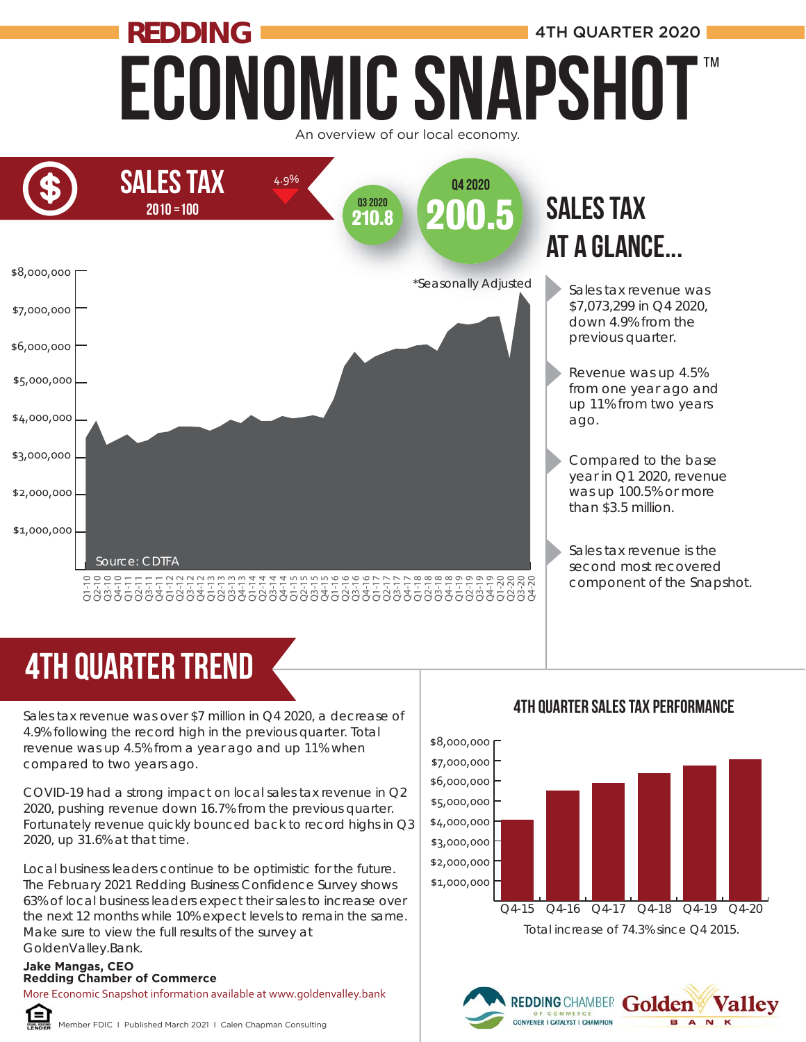## Economic Snapshot **REDDING ALL AND ALL AND MANUARTER 2020** ™





# 4TH quarter trend

Sales tax revenue was over \$7 million in Q4 2020, a decrease of 4.9% following the record high in the previous quarter. Total revenue was up 4.5% from a year ago and up 11% when compared to two years ago.

COVID-19 had a strong impact on local sales tax revenue in Q2 2020, pushing revenue down 16.7% from the previous quarter. Fortunately revenue quickly bounced back to record highs in Q3 2020, up 31.6% at that time.

Local business leaders continue to be optimistic for the future. The February 2021 Redding Business Confidence Survey shows 63% of local business leaders expect their sales to increase over the next 12 months while 10% expect levels to remain the same. Make sure to view the full results of the survey at GoldenValley.Bank. **REDDING CHAMBER 1988**<br>
Sales tax revenue was over \$7 m<br>
4.9% following the record high in<br>
revenue was up 4.5% from a yea<br>
compared to two years ago.<br>
COVID-19 had a strong impact of<br>
2020, pushing revenue down 16.<br>
Fortu

### **Jake Mangas, CEO**

More Economic Snapshot information available at www.goldenvalley.bank



Member FDIC I Published March 2021 I Calen Chapman Consulting

### 4TH QUarter Sales Tax Performance



REDDING CHAMBER GO

CONVENER I CATALYST I CHAMPION

Valley

A<sub>N</sub>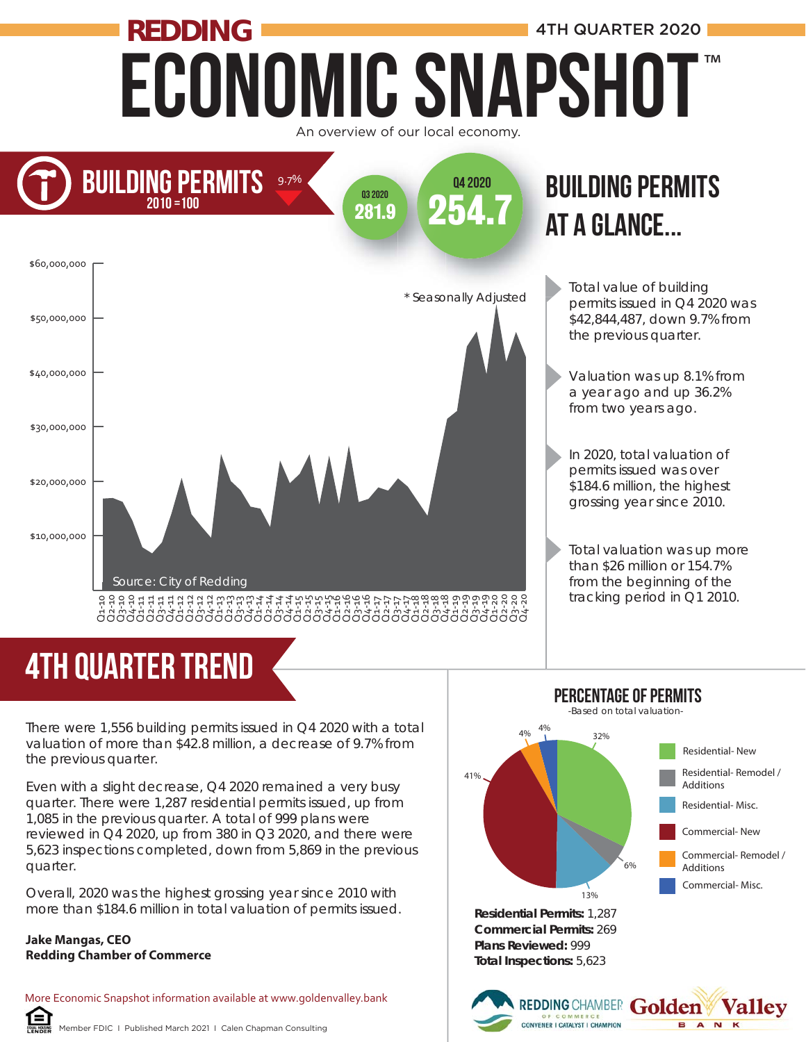## Economic Snapshot **REDDING** 4TH QUARTER 2020 An overview of our local economy. ™



# **BUILDING PERMITS**



# at a glance... at

Total value of building permits issued in Q4 2020 was \$42,844,487, down 9.7% from the previous quarter.

Valuation was up 8.1% from a year ago and up 36.2% from two years ago.

In 2020, total valuation of permits issued was over \$184.6 million, the highest grossing year since 2010.

Total valuation was up more than \$26 million or 154.7% from the beginning of the tracking period in Q1 2010.

There were 1,556 building permits issued in Q4 2020 with a total valuation of more than \$42.8 million, a decrease of 9.7% from the previous quarter.

Even with a slight decrease, Q4 2020 remained a very busy quarter. There were 1,287 residential permits issued, up from 1,085 in the previous quarter. A total of 999 plans were reviewed in Q4 2020, up from 380 in Q3 2020, and there were 5,623 inspections completed, down from 5,869 in the previous quarter.

Overall, 2020 was the highest grossing year since 2010 with more than \$184.6 million in total valuation of permits issued.

#### **Jake Mangas, CEO Redding Chamber of Commerce**

Œ

4TH quarter trend

More Economic Snapshot information available at www.goldenvalley.bank



REDDING CHAMBER Golden

**Valley** 

**BANK** 

Percentage of PERMITS

**Plans Reviewed:** 999 **Total Inspections:** 5,623

OF COMMERCE<br>CONVENER I CATALYST I CHAMPION

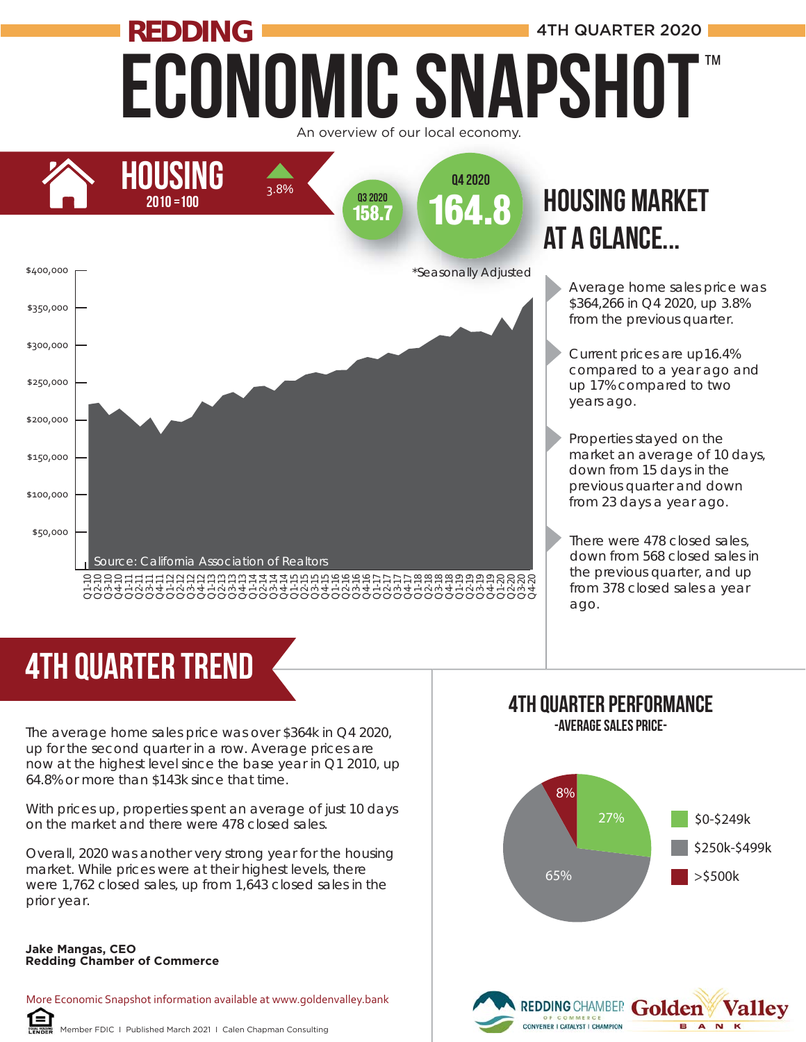## Economic Snapshot **REDDING** 4TH QUARTER 2020 ™





# at a glance...

- Average home sales price was \$364,266 in Q4 2020, up 3.8% from the previous quarter.
- Current prices are up16.4% compared to a year ago and up 17% compared to two years ago.
- Properties stayed on the market an average of 10 days, down from 15 days in the previous quarter and down from 23 days a year ago.
- There were 478 closed sales, down from 568 closed sales in the previous quarter, and up from 378 closed sales a year ago.

## 4TH quarter trend

The average home sales price was over \$364k in Q4 2020, up for the second quarter in a row. Average prices are now at the highest level since the base year in Q1 2010, up 64.8% or more than \$143k since that time. **Redding Chamber of Commerce**<br> **Redding Chamber of Commerce** Cup for the second quarter in a n<br>
now at the highest level since to<br>
64.8% or more than \$143k since<br>
With prices up, properties spent<br>
on the market and there w

With prices up, properties spent an average of just 10 days on the market and there were 478 closed sales.

Overall, 2020 was another very strong year for the housing market. While prices were at their highest levels, there were 1,762 closed sales, up from 1,643 closed sales in the prior year.

### **Jake Mangas, CEO**

More Economic Snapshot information available at www.goldenvalley.bank

## 4TH Quarter Performance

-Average Sales Price-

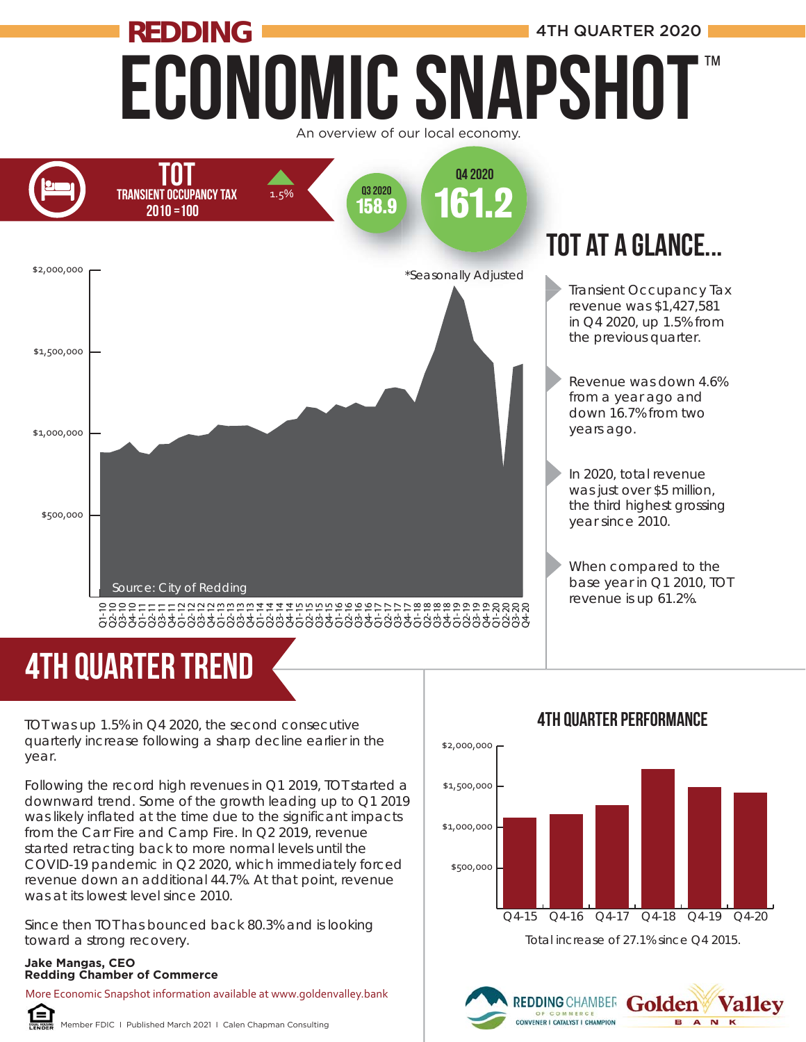## Economic Snapshot **REDDING** 4TH QUARTER 2020 ™

An overview of our local economy.



# 4TH quarter trend

TOT was up 1.5% in Q4 2020, the second consecutive quarterly increase following a sharp decline earlier in the year.

Following the record high revenues in Q1 2019, TOT started a downward trend. Some of the growth leading up to Q1 2019 was likely inflated at the time due to the significant impacts from the Carr Fire and Camp Fire. In Q2 2019, revenue started retracting back to more normal levels until the COVID-19 pandemic in Q2 2020, which immediately forced revenue down an additional 44.7%. At that point, revenue was at its lowest level since 2010.

Since then TOT has bounced back 80.3% and is looking toward a strong recovery.

#### **Jake Mangas, CEO Redding Chamber of Commerce**

More Economic Snapshot information available at www.goldenvalley.bank



Member FDIC I Published March 2021 I Calen Chapman Consulting



### 4TH Quarter Performance